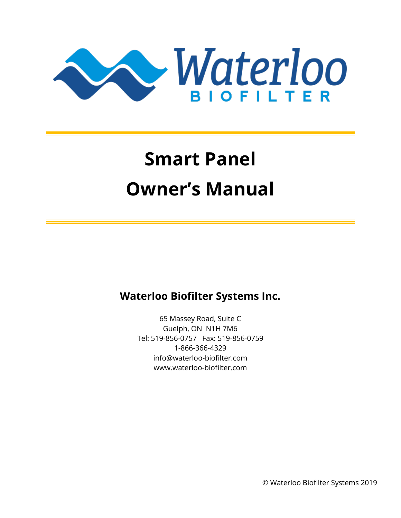

# **Smart Panel Owner's Manual**

# **Waterloo Biofilter Systems Inc.**

65 Massey Road, Suite C Guelph, ON N1H 7M6 Tel: 519-856-0757 Fax: 519-856-0759 1-866-366-4329 info@waterloo-biofilter.com www.waterloo-biofilter.com

© Waterloo Biofilter Systems 2019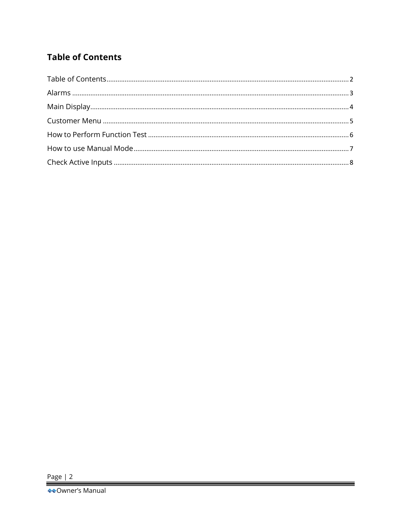## <span id="page-1-0"></span>**Table of Contents**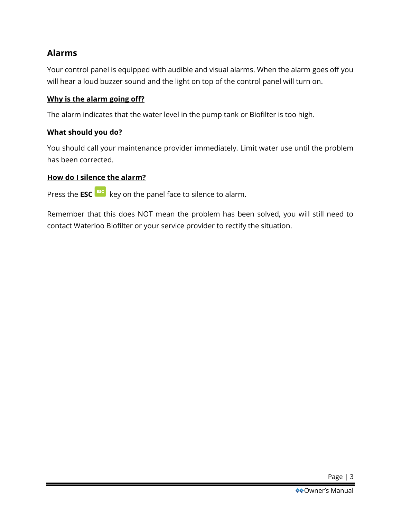## <span id="page-2-0"></span>**Alarms**

Your control panel is equipped with audible and visual alarms. When the alarm goes off you will hear a loud buzzer sound and the light on top of the control panel will turn on.

#### **Why is the alarm going off?**

The alarm indicates that the water level in the pump tank or Biofilter is too high.

#### **What should you do?**

You should call your maintenance provider immediately. Limit water use until the problem has been corrected.

#### **How do I silence the alarm?**

Press the **ESC** <sup>ESC</sup> key on the panel face to silence to alarm.

Remember that this does NOT mean the problem has been solved, you will still need to contact Waterloo Biofilter or your service provider to rectify the situation.

Page | 3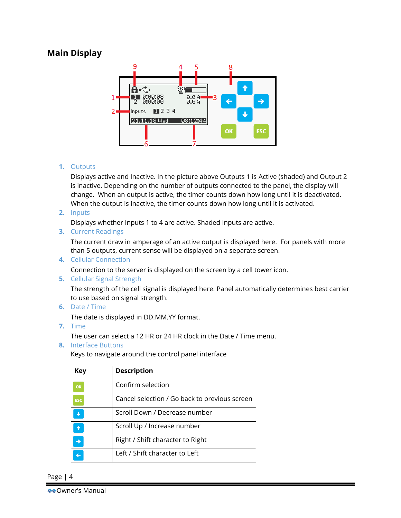## <span id="page-3-0"></span>**Main Display**



#### **1.** Outputs

Displays active and Inactive. In the picture above Outputs 1 is Active (shaded) and Output 2 is inactive. Depending on the number of outputs connected to the panel, the display will change. When an output is active, the timer counts down how long until it is deactivated. When the output is inactive, the timer counts down how long until it is activated.

**2.** Inputs

Displays whether Inputs 1 to 4 are active. Shaded Inputs are active.

**3.** Current Readings

The current draw in amperage of an active output is displayed here. For panels with more than 5 outputs, current sense will be displayed on a separate screen.

**4.** Cellular Connection

Connection to the server is displayed on the screen by a cell tower icon.

**5.** Cellular Signal Strength

The strength of the cell signal is displayed here. Panel automatically determines best carrier to use based on signal strength.

**6.** Date / Time

The date is displayed in DD.MM.YY format.

**7.** Time

The user can select a 12 HR or 24 HR clock in the Date / Time menu.

**8.** Interface Buttons

Keys to navigate around the control panel interface

| <b>Key</b> | <b>Description</b>                            |
|------------|-----------------------------------------------|
| OK         | Confirm selection                             |
| <b>ESC</b> | Cancel selection / Go back to previous screen |
|            | Scroll Down / Decrease number                 |
|            | Scroll Up / Increase number                   |
|            | Right / Shift character to Right              |
|            | Left / Shift character to Left                |

Page | 4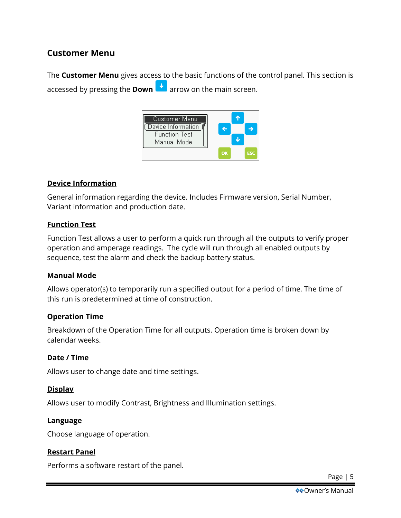## <span id="page-4-0"></span>**Customer Menu**

The **Customer Menu** gives access to the basic functions of the control panel. This section is accessed by pressing the **Down a** arrow on the main screen.



#### **Device Information**

General information regarding the device. Includes Firmware version, Serial Number, Variant information and production date.

#### **Function Test**

Function Test allows a user to perform a quick run through all the outputs to verify proper operation and amperage readings. The cycle will run through all enabled outputs by sequence, test the alarm and check the backup battery status.

#### **Manual Mode**

Allows operator(s) to temporarily run a specified output for a period of time. The time of this run is predetermined at time of construction.

#### **Operation Time**

Breakdown of the Operation Time for all outputs. Operation time is broken down by calendar weeks.

#### **Date / Time**

Allows user to change date and time settings.

#### **Display**

Allows user to modify Contrast, Brightness and Illumination settings.

#### **Language**

Choose language of operation.

#### **Restart Panel**

Performs a software restart of the panel.

Page | 5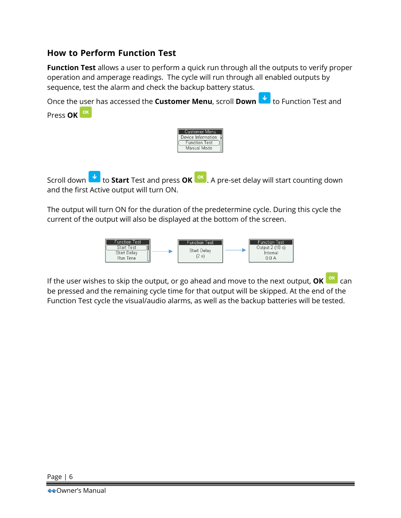### <span id="page-5-0"></span>**How to Perform Function Test**

**Function Test** allows a user to perform a quick run through all the outputs to verify proper operation and amperage readings. The cycle will run through all enabled outputs by sequence, test the alarm and check the backup battery status.

Once the user has accessed the **Customer Menu**, scroll **Down to** Function Test and Press **OK**



Scroll down **th** to **Start** Test and press **OK** <sup>ok</sup> . A pre-set delay will start counting down and the first Active output will turn ON.

The output will turn ON for the duration of the predetermine cycle. During this cycle the current of the output will also be displayed at the bottom of the screen.



If the user wishes to skip the output, or go ahead and move to the next output, **OK** can be pressed and the remaining cycle time for that output will be skipped. At the end of the Function Test cycle the visual/audio alarms, as well as the backup batteries will be tested.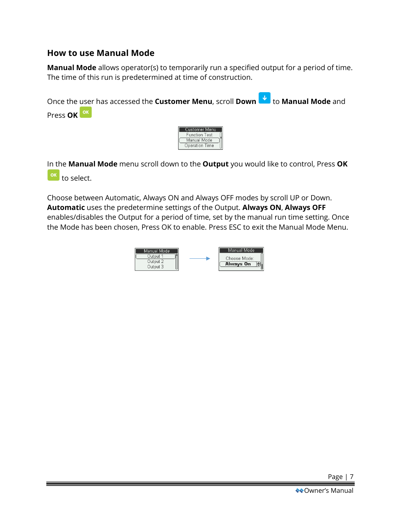## <span id="page-6-0"></span>**How to use Manual Mode**

**Manual Mode** allows operator(s) to temporarily run a specified output for a period of time. The time of this run is predetermined at time of construction.



In the **Manual Mode** menu scroll down to the **Output** you would like to control, Press **OK** to select.

Choose between Automatic, Always ON and Always OFF modes by scroll UP or Down. **Automatic** uses the predetermine settings of the Output. **Always ON**, **Always OFF** enables/disables the Output for a period of time, set by the manual run time setting. Once the Mode has been chosen, Press OK to enable. Press ESC to exit the Manual Mode Menu.